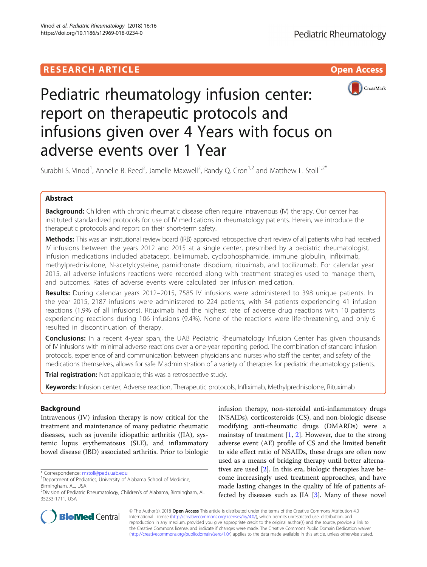# **RESEARCH ARTICLE Example 2018 12:00 Department of the Contract Open Access**



# Pediatric rheumatology infusion center: report on therapeutic protocols and infusions given over 4 Years with focus on adverse events over 1 Year

Surabhi S. Vinod<sup>1</sup>, Annelle B. Reed<sup>2</sup>, Jamelle Maxwell<sup>2</sup>, Randy Q. Cron<sup>1,2</sup> and Matthew L. Stoll<sup>1,2\*</sup>

# Abstract

Background: Children with chronic rheumatic disease often require intravenous (IV) therapy. Our center has instituted standardized protocols for use of IV medications in rheumatology patients. Herein, we introduce the therapeutic protocols and report on their short-term safety.

Methods: This was an institutional review board (IRB) approved retrospective chart review of all patients who had received IV infusions between the years 2012 and 2015 at a single center, prescribed by a pediatric rheumatologist. Infusion medications included abatacept, belimumab, cyclophosphamide, immune globulin, infliximab, methylprednisolone, N-acetylcysteine, pamidronate disodium, rituximab, and tocilizumab. For calendar year 2015, all adverse infusions reactions were recorded along with treatment strategies used to manage them, and outcomes. Rates of adverse events were calculated per infusion medication.

Results: During calendar years 2012–2015, 7585 IV infusions were administered to 398 unique patients. In the year 2015, 2187 infusions were administered to 224 patients, with 34 patients experiencing 41 infusion reactions (1.9% of all infusions). Rituximab had the highest rate of adverse drug reactions with 10 patients experiencing reactions during 106 infusions (9.4%). None of the reactions were life-threatening, and only 6 resulted in discontinuation of therapy.

**Conclusions:** In a recent 4-year span, the UAB Pediatric Rheumatology Infusion Center has given thousands of IV infusions with minimal adverse reactions over a one-year reporting period. The combination of standard infusion protocols, experience of and communication between physicians and nurses who staff the center, and safety of the medications themselves, allows for safe IV administration of a variety of therapies for pediatric rheumatology patients.

Trial registration: Not applicable; this was a retrospective study.

Keywords: Infusion center, Adverse reaction, Therapeutic protocols, Infliximab, Methylprednisolone, Rituximab

# Background

Intravenous (IV) infusion therapy is now critical for the treatment and maintenance of many pediatric rheumatic diseases, such as juvenile idiopathic arthritis (JIA), systemic lupus erythematosus (SLE), and inflammatory bowel disease (IBD) associated arthritis. Prior to biologic

infusion therapy, non-steroidal anti-inflammatory drugs (NSAIDs), corticosteroids (CS), and non-biologic disease modifying anti-rheumatic drugs (DMARDs) were a mainstay of treatment  $[1, 2]$  $[1, 2]$  $[1, 2]$  $[1, 2]$  $[1, 2]$ . However, due to the strong adverse event (AE) profile of CS and the limited benefit to side effect ratio of NSAIDs, these drugs are often now used as a means of bridging therapy until better alternatives are used [\[2\]](#page-5-0). In this era, biologic therapies have become increasingly used treatment approaches, and have made lasting changes in the quality of life of patients affected by diseases such as JIA [\[3](#page-5-0)]. Many of these novel



© The Author(s). 2018 Open Access This article is distributed under the terms of the Creative Commons Attribution 4.0 International License [\(http://creativecommons.org/licenses/by/4.0/](http://creativecommons.org/licenses/by/4.0/)), which permits unrestricted use, distribution, and reproduction in any medium, provided you give appropriate credit to the original author(s) and the source, provide a link to the Creative Commons license, and indicate if changes were made. The Creative Commons Public Domain Dedication waiver [\(http://creativecommons.org/publicdomain/zero/1.0/](http://creativecommons.org/publicdomain/zero/1.0/)) applies to the data made available in this article, unless otherwise stated.

<sup>\*</sup> Correspondence: [mstoll@peds.uab.edu](mailto:mstoll@peds.uab.edu) <sup>1</sup>

<sup>&</sup>lt;sup>1</sup>Department of Pediatrics, University of Alabama School of Medicine, Birmingham, AL, USA

<sup>&</sup>lt;sup>2</sup>Division of Pediatric Rheumatology, Children's of Alabama, Birmingham, AL 35233-1711, USA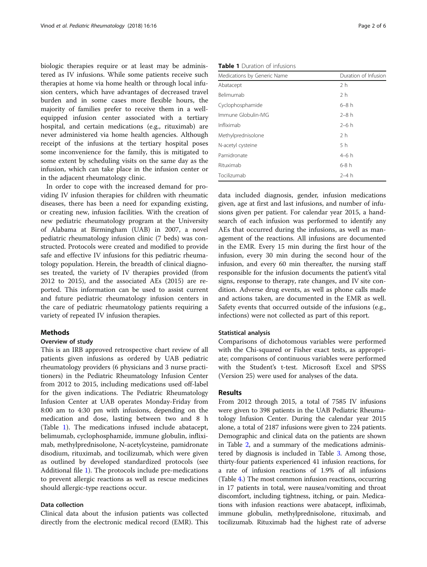biologic therapies require or at least may be administered as IV infusions. While some patients receive such therapies at home via home health or through local infusion centers, which have advantages of decreased travel burden and in some cases more flexible hours, the majority of families prefer to receive them in a wellequipped infusion center associated with a tertiary hospital, and certain medications (e.g., rituximab) are never administered via home health agencies. Although receipt of the infusions at the tertiary hospital poses some inconvenience for the family, this is mitigated to some extent by scheduling visits on the same day as the infusion, which can take place in the infusion center or in the adjacent rheumatology clinic.

In order to cope with the increased demand for providing IV infusion therapies for children with rheumatic diseases, there has been a need for expanding existing, or creating new, infusion facilities. With the creation of new pediatric rheumatology program at the University of Alabama at Birmingham (UAB) in 2007, a novel pediatric rheumatology infusion clinic (7 beds) was constructed. Protocols were created and modified to provide safe and effective IV infusions for this pediatric rheumatology population. Herein, the breadth of clinical diagnoses treated, the variety of IV therapies provided (from 2012 to 2015), and the associated AEs (2015) are reported. This information can be used to assist current and future pediatric rheumatology infusion centers in the care of pediatric rheumatology patients requiring a variety of repeated IV infusion therapies.

# Methods

## Overview of study

This is an IRB approved retrospective chart review of all patients given infusions as ordered by UAB pediatric rheumatology providers (6 physicians and 3 nurse practitioners) in the Pediatric Rheumatology Infusion Center from 2012 to 2015, including medications used off-label for the given indications. The Pediatric Rheumatology Infusion Center at UAB operates Monday-Friday from 8:00 am to 4:30 pm with infusions, depending on the medication and dose, lasting between two and 8 h (Table 1). The medications infused include abatacept, belimumab, cyclophosphamide, immune globulin, infliximab, methylprednisolone, N-acetylcysteine, pamidronate disodium, rituximab, and tocilizumab, which were given as outlined by developed standardized protocols (see Additional file [1](#page-5-0)). The protocols include pre-medications to prevent allergic reactions as well as rescue medicines should allergic-type reactions occur.

# Data collection

Clinical data about the infusion patients was collected directly from the electronic medical record (EMR). This

Table 1 Duration of infusions

| Medications by Generic Name | Duration of Infusion |
|-----------------------------|----------------------|
| Abatacept                   | 2 <sub>h</sub>       |
| Belimumab                   | 2 <sub>h</sub>       |
| Cyclophosphamide            | $6-8h$               |
| Immune Globulin-IVIG        | $2-8h$               |
| Infliximab                  | $2-6h$               |
| Methylprednisolone          | 2 <sub>h</sub>       |
| N-acetyl cysteine           | 5h                   |
| Pamidronate                 | $4-6h$               |
| Rituximab                   | $6-8h$               |
| Tocilizumab                 | $2-4h$               |

data included diagnosis, gender, infusion medications given, age at first and last infusions, and number of infusions given per patient. For calendar year 2015, a handsearch of each infusion was performed to identify any AEs that occurred during the infusions, as well as management of the reactions. All infusions are documented in the EMR. Every 15 min during the first hour of the infusion, every 30 min during the second hour of the infusion, and every 60 min thereafter, the nursing staff responsible for the infusion documents the patient's vital signs, response to therapy, rate changes, and IV site condition. Adverse drug events, as well as phone calls made and actions taken, are documented in the EMR as well. Safety events that occurred outside of the infusions (e.g., infections) were not collected as part of this report.

#### Statistical analysis

Comparisons of dichotomous variables were performed with the Chi-squared or Fisher exact tests, as appropriate; comparisons of continuous variables were performed with the Student's t-test. Microsoft Excel and SPSS (Version 25) were used for analyses of the data.

## Results

From 2012 through 2015, a total of 7585 IV infusions were given to 398 patients in the UAB Pediatric Rheumatology Infusion Center. During the calendar year 2015 alone, a total of 2187 infusions were given to 224 patients. Demographic and clinical data on the patients are shown in Table [2](#page-2-0), and a summary of the medications administered by diagnosis is included in Table [3.](#page-3-0) Among those, thirty-four patients experienced 41 infusion reactions, for a rate of infusion reactions of 1.9% of all infusions (Table [4.](#page-3-0)) The most common infusion reactions, occurring in 17 patients in total, were nausea/vomiting and throat discomfort, including tightness, itching, or pain. Medications with infusion reactions were abatacept, infliximab, immune globulin, methylprednisolone, rituximab, and tocilizumab. Rituximab had the highest rate of adverse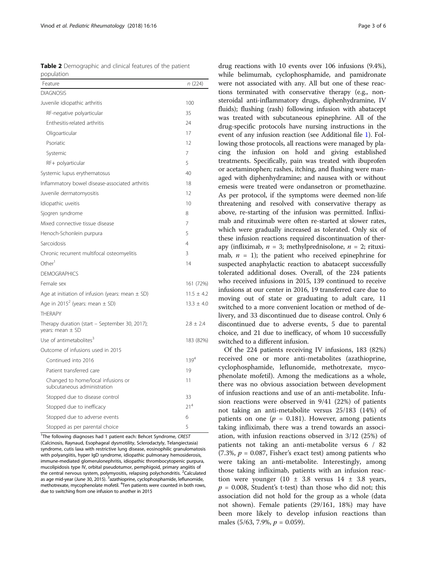<span id="page-2-0"></span>

| Table 2 Demographic and clinical features of the patient |  |  |
|----------------------------------------------------------|--|--|
| population                                               |  |  |

| Feature                                                            | n(224)          |
|--------------------------------------------------------------------|-----------------|
| <b>DIAGNOSIS</b>                                                   |                 |
| Juvenile idiopathic arthritis                                      | 100             |
| RF-negative polyarticular                                          | 35              |
| Enthesitis-related arthritis                                       | 24              |
| Oligoarticular                                                     | 17              |
| Psoriatic                                                          | 12              |
| Systemic                                                           | 7               |
| RF+ polyarticular                                                  | 5               |
| Systemic lupus erythematosus                                       | 40              |
| Inflammatory bowel disease-associated arthritis                    | 18              |
| Juvenile dermatomyositis                                           | 12              |
| Idiopathic uveitis                                                 | 10              |
| Sjogren syndrome                                                   | 8               |
| Mixed connective tissue disease                                    | 7               |
| Henoch-Schonlein purpura                                           | 5               |
| Sarcoidosis                                                        | 4               |
| Chronic recurrent multifocal osteomyelitis                         | 3               |
| Other <sup>1</sup>                                                 | 14              |
| <b>DEMOGRAPHICS</b>                                                |                 |
| Female sex                                                         | 161 (72%)       |
| Age at initiation of infusion (years: mean $\pm$ SD)               | $11.5 \pm 4.2$  |
| Age in 2015 <sup>2</sup> (years: mean $\pm$ SD)                    | $13.3 \pm 4.0$  |
| <b>THFRAPY</b>                                                     |                 |
| Therapy duration (start - September 30, 2017);<br>years: mean ± SD | $2.8 \pm 2.4$   |
| Use of antimetabolites <sup>3</sup>                                | 183 (82%)       |
| Outcome of infusions used in 2015                                  |                 |
| Continued into 2016                                                | $139^{4}$       |
| Patient transferred care                                           | 19              |
| Changed to home/local infusions or<br>subcutaneous administration  | 11              |
| Stopped due to disease control                                     | 33              |
| Stopped due to inefficacy                                          | 21 <sup>4</sup> |
| Stopped due to adverse events                                      | 6               |
| Stopped as per parental choice                                     | 5               |

<sup>1</sup>The following diagnoses had 1 patient each: Behcet Syndrome, CREST (Calcinosis, Raynaud, Esophageal dysmotility, Sclerodactyly, Telangiectasia) syndrome, cutis laxa with restrictive lung disease, eosinophilic granulomatosis with polyangiitis, hyper IgD syndrome, idiopathic pulmonary hemosiderosis, immune-mediated glomerulonephritis, idiopathic thrombocytopenic purpura, mucolipidosis type IV, orbital pseudotumor, pemphigoid, primary angiitis of the central nervous system, polymyositis, relapsing polychondritis. <sup>2</sup>Calculated as age mid-year (June 30, 2015). <sup>3</sup>azathioprine, cyclophosphamide, leflunomide, methotrexate, mycophenolate mofetil. <sup>4</sup>Ten patients were counted in both rows, due to switching from one infusion to another in 2015

drug reactions with 10 events over 106 infusions (9.4%), while belimumab, cyclophosphamide, and pamidronate were not associated with any. All but one of these reactions terminated with conservative therapy (e.g., nonsteroidal anti-inflammatory drugs, diphenhydramine, IV fluids); flushing (rash) following infusion with abatacept was treated with subcutaneous epinephrine. All of the drug-specific protocols have nursing instructions in the event of any infusion reaction (see Additional file [1\)](#page-5-0). Following those protocols, all reactions were managed by placing the infusion on hold and giving established treatments. Specifically, pain was treated with ibuprofen or acetaminophen; rashes, itching, and flushing were managed with diphenhydramine; and nausea with or without emesis were treated were ondansetron or promethazine. As per protocol, if the symptoms were deemed non-life threatening and resolved with conservative therapy as above, re-starting of the infusion was permitted. Infliximab and rituximab were often re-started at slower rates, which were gradually increased as tolerated. Only six of these infusion reactions required discontinuation of therapy (infliximab,  $n = 3$ ; methylprednisolone,  $n = 2$ ; rituximab,  $n = 1$ ); the patient who received epinephrine for suspected anaphylactic reaction to abatacept successfully tolerated additional doses. Overall, of the 224 patients who received infusions in 2015, 139 continued to receive infusions at our center in 2016, 19 transferred care due to moving out of state or graduating to adult care, 11 switched to a more convenient location or method of delivery, and 33 discontinued due to disease control. Only 6 discontinued due to adverse events, 5 due to parental choice, and 21 due to inefficacy, of whom 10 successfully switched to a different infusion.

Of the 224 patients receiving IV infusions, 183 (82%) received one or more anti-metabolites (azathioprine, cyclophosphamide, leflunomide, methotrexate, mycophenolate mofetil). Among the medications as a whole, there was no obvious association between development of infusion reactions and use of an anti-metabolite. Infusion reactions were observed in 9/41 (22%) of patients not taking an anti-metabolite versus 25/183 (14%) of patients on one ( $p = 0.181$ ). However, among patients taking infliximab, there was a trend towards an association, with infusion reactions observed in 3/12 (25%) of patients not taking an anti-metabolite versus 6 / 82  $(7.3\%, p = 0.087,$  Fisher's exact test) among patients who were taking an anti-metabolite. Interestingly, among those taking infliximab, patients with an infusion reaction were younger  $(10 \pm 3.8 \text{ versus } 14 \pm 3.8 \text{ years})$  $p = 0.008$ , Student's t-test) than those who did not; this association did not hold for the group as a whole (data not shown). Female patients (29/161, 18%) may have been more likely to develop infusion reactions than males (5/63, 7.9%,  $p = 0.059$ ).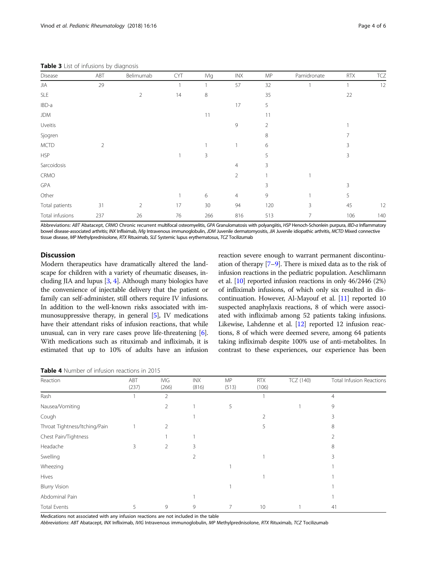<span id="page-3-0"></span>Table 3 List of infusions by diagnosis

| Disease         | ABT            | Belimumab      | <b>CYT</b> | <b>IVIg</b> | INX            | MP  | Pamidronate | <b>RTX</b> | TCZ |
|-----------------|----------------|----------------|------------|-------------|----------------|-----|-------------|------------|-----|
| JIA             | 29             |                |            |             | 57             | 32  |             |            | 12  |
| <b>SLE</b>      |                | $\overline{2}$ | 14         | 8           |                | 35  |             | 22         |     |
| IBD-a           |                |                |            |             | 17             | 5   |             |            |     |
| <b>JDM</b>      |                |                |            | 11          |                | 11  |             |            |     |
| Uveitis         |                |                |            |             | $\mathsf{G}$   | 2   |             |            |     |
| Sjogren         |                |                |            |             |                | 8   |             |            |     |
| <b>MCTD</b>     | $\overline{2}$ |                |            |             |                | 6   |             | 3          |     |
| <b>HSP</b>      |                |                |            | 3           |                | 5   |             | 3          |     |
| Sarcoidosis     |                |                |            |             | $\overline{4}$ | 3   |             |            |     |
| CRMO            |                |                |            |             | $\overline{2}$ |     |             |            |     |
| GPA             |                |                |            |             |                | 3   |             | 3          |     |
| Other           |                |                |            | 6           | $\overline{4}$ | 9   |             | 5          |     |
| Total patients  | 31             | $\overline{2}$ | 17         | 30          | 94             | 120 | 3           | 45         | 12  |
| Total infusions | 237            | 26             | 76         | 266         | 816            | 513 | 7           | 106        | 140 |

Abbreviations: ABT Abatacept, CRMO Chronic recurrent multifocal osteomyelitis, GPA Granulomatosis with polyangiitis, HSP Henoch-Schonlein purpura, IBD-a Inflammatory bowel disease-associated arthritis; INX Infliximab, IVIg Intravenous immunoglobulin, JDM Juvenile dermatomyositis, JIA Juvenile idiopathic arthritis, MCTD Mixed connective tissue disease, MP Methylprednisolone, RTX Rituximab, SLE Systemic lupus erythematosus, TCZ Tocilizumab

# **Discussion**

Modern therapeutics have dramatically altered the landscape for children with a variety of rheumatic diseases, including JIA and lupus [[3](#page-5-0), [4\]](#page-5-0). Although many biologics have the convenience of injectable delivery that the patient or family can self-administer, still others require IV infusions. In addition to the well-known risks associated with immunosuppressive therapy, in general [\[5\]](#page-5-0), IV medications have their attendant risks of infusion reactions, that while unusual, can in very rare cases prove life-threatening [[6](#page-5-0)]. With medications such as rituximab and infliximab, it is estimated that up to 10% of adults have an infusion reaction severe enough to warrant permanent discontinuation of therapy [\[7](#page-5-0)–[9](#page-5-0)]. There is mixed data as to the risk of infusion reactions in the pediatric population. Aeschlimann et al. [[10](#page-5-0)] reported infusion reactions in only 46/2446 (2%) of infliximab infusions, of which only six resulted in discontinuation. However, Al-Mayouf et al. [\[11](#page-5-0)] reported 10 suspected anaphylaxis reactions, 8 of which were associated with infliximab among 52 patients taking infusions. Likewise, Lahdenne et al. [\[12](#page-5-0)] reported 12 infusion reactions, 8 of which were deemed severe, among 64 patients taking infliximab despite 100% use of anti-metabolites. In contrast to these experiences, our experience has been

Table 4 Number of infusion reactions in 2015

| Reaction                      | ABT<br>(237) | <b>IVIG</b><br>(266) | <b>INX</b><br>(816) | MP<br>(513) | <b>RTX</b><br>(106) | TCZ (140) | Total Infusion Reactions |
|-------------------------------|--------------|----------------------|---------------------|-------------|---------------------|-----------|--------------------------|
| Rash                          |              | $\overline{2}$       |                     |             |                     |           | $\overline{4}$           |
| Nausea/Vomiting               |              | 2                    |                     | 5           |                     |           | 9                        |
| Cough                         |              |                      |                     |             | 2                   |           | 3                        |
| Throat Tightness/Itching/Pain |              | 2                    |                     |             | 5                   |           | 8                        |
| Chest Pain/Tightness          |              |                      |                     |             |                     |           | 2                        |
| Headache                      | 3            | 2                    | 3                   |             |                     |           | 8                        |
| Swelling                      |              |                      | 2                   |             |                     |           | 3                        |
| Wheezing                      |              |                      |                     |             |                     |           |                          |
| Hives                         |              |                      |                     |             |                     |           |                          |
| <b>Blurry Vision</b>          |              |                      |                     |             |                     |           |                          |
| Abdominal Pain                |              |                      |                     |             |                     |           |                          |
| Total Events                  | 5            | 9                    | 9                   |             | 10                  |           | 41                       |

Medications not associated with any infusion reactions are not included in the table

Abbreviations: ABT Abatacept, INX Infliximab, IVIG Intravenous immunoglobulin, MP Methylprednisolone, RTX Rituximab, TCZ Tocilizumab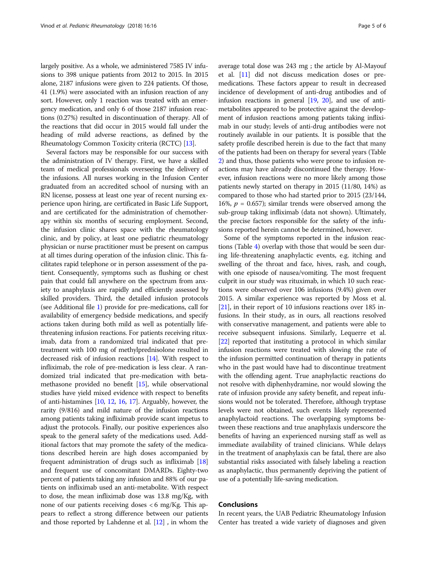largely positive. As a whole, we administered 7585 IV infusions to 398 unique patients from 2012 to 2015. In 2015 alone, 2187 infusions were given to 224 patients. Of those, 41 (1.9%) were associated with an infusion reaction of any sort. However, only 1 reaction was treated with an emergency medication, and only 6 of those 2187 infusion reactions (0.27%) resulted in discontinuation of therapy. All of the reactions that did occur in 2015 would fall under the heading of mild adverse reactions, as defined by the Rheumatology Common Toxicity criteria (RCTC) [\[13](#page-5-0)].

Several factors may be responsible for our success with the administration of IV therapy. First, we have a skilled team of medical professionals overseeing the delivery of the infusions. All nurses working in the Infusion Center graduated from an accredited school of nursing with an RN license, possess at least one year of recent nursing experience upon hiring, are certificated in Basic Life Support, and are certificated for the administration of chemotherapy within six months of securing employment. Second, the infusion clinic shares space with the rheumatology clinic, and by policy, at least one pediatric rheumatology physician or nurse practitioner must be present on campus at all times during operation of the infusion clinic. This facilitates rapid telephone or in person assessment of the patient. Consequently, symptoms such as flushing or chest pain that could fall anywhere on the spectrum from anxiety to anaphylaxis are rapidly and efficiently assessed by skilled providers. Third, the detailed infusion protocols (see Additional file [1\)](#page-5-0) provide for pre-medications, call for availability of emergency bedside medications, and specify actions taken during both mild as well as potentially lifethreatening infusion reactions. For patients receiving rituximab, data from a randomized trial indicated that pretreatment with 100 mg of methylprednisolone resulted in decreased risk of infusion reactions [[14](#page-5-0)]. With respect to infliximab, the role of pre-medication is less clear. A randomized trial indicated that pre-medication with betamethasone provided no benefit [\[15\]](#page-5-0), while observational studies have yield mixed evidence with respect to benefits of anti-histamines [\[10,](#page-5-0) [12,](#page-5-0) [16,](#page-5-0) [17\]](#page-5-0). Arguably, however, the rarity (9/816) and mild nature of the infusion reactions among patients taking infliximab provide scant impetus to adjust the protocols. Finally, our positive experiences also speak to the general safety of the medications used. Additional factors that may promote the safety of the medications described herein are high doses accompanied by frequent administration of drugs such as infliximab [[18](#page-5-0)] and frequent use of concomitant DMARDs. Eighty-two percent of patients taking any infusion and 88% of our patients on infliximab used an anti-metabolite. With respect to dose, the mean infliximab dose was 13.8 mg/Kg, with none of our patients receiving doses  $< 6$  mg/Kg. This appears to reflect a strong difference between our patients and those reported by Lahdenne et al. [\[12\]](#page-5-0) , in whom the average total dose was 243 mg ; the article by Al-Mayouf et al. [[11](#page-5-0)] did not discuss medication doses or premedications. These factors appear to result in decreased incidence of development of anti-drug antibodies and of infusion reactions in general [[19](#page-5-0), [20\]](#page-5-0), and use of antimetabolites appeared to be protective against the development of infusion reactions among patients taking infliximab in our study; levels of anti-drug antibodies were not routinely available in our patients. It is possible that the safety profile described herein is due to the fact that many of the patients had been on therapy for several years (Table [2](#page-2-0)) and thus, those patients who were prone to infusion reactions may have already discontinued the therapy. However, infusion reactions were no more likely among those patients newly started on therapy in 2015 (11/80, 14%) as compared to those who had started prior to 2015 (23/144, 16%,  $p = 0.657$ ); similar trends were observed among the sub-group taking infliximab (data not shown). Ultimately, the precise factors responsible for the safety of the infusions reported herein cannot be determined, however.

Some of the symptoms reported in the infusion reactions (Table [4\)](#page-3-0) overlap with those that would be seen during life-threatening anaphylactic events, e.g. itching and swelling of the throat and face, hives, rash, and cough, with one episode of nausea/vomiting. The most frequent culprit in our study was rituximab, in which 10 such reactions were observed over 106 infusions (9.4%) given over 2015. A similar experience was reported by Moss et al. [[21](#page-5-0)], in their report of 10 infusions reactions over 185 infusions. In their study, as in ours, all reactions resolved with conservative management, and patients were able to receive subsequent infusions. Similarly, Lequerre et al. [[22](#page-5-0)] reported that instituting a protocol in which similar infusion reactions were treated with slowing the rate of the infusion permitted continuation of therapy in patients who in the past would have had to discontinue treatment with the offending agent. True anaphylactic reactions do not resolve with diphenhydramine, nor would slowing the rate of infusion provide any safety benefit, and repeat infusions would not be tolerated. Therefore, although tryptase levels were not obtained, such events likely represented anaphylactoid reactions. The overlapping symptoms between these reactions and true anaphylaxis underscore the benefits of having an experienced nursing staff as well as immediate availability of trained clinicians. While delays in the treatment of anaphylaxis can be fatal, there are also substantial risks associated with falsely labeling a reaction as anaphylactic, thus permanently depriving the patient of use of a potentially life-saving medication.

# Conclusions

In recent years, the UAB Pediatric Rheumatology Infusion Center has treated a wide variety of diagnoses and given